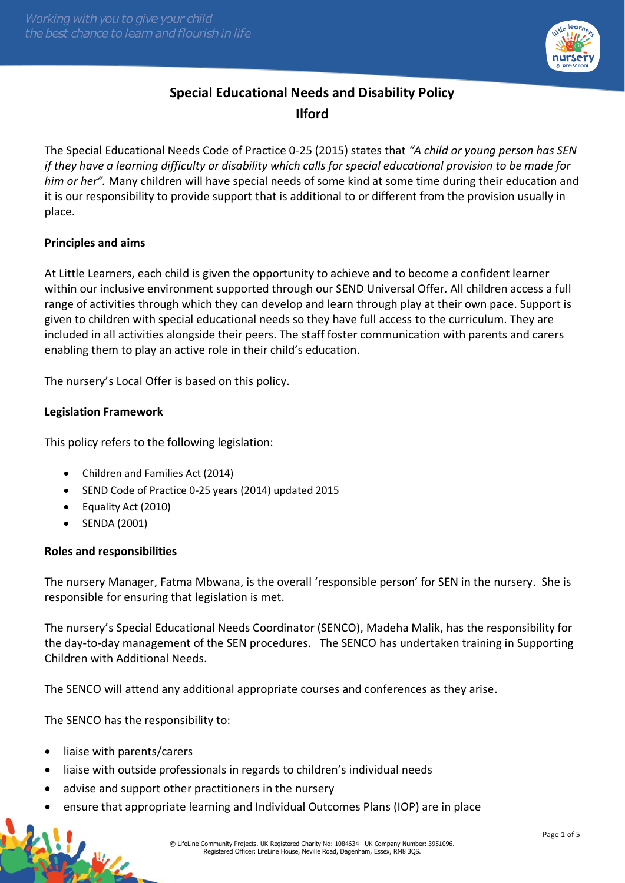

# **Special Educational Needs and Disability Policy Ilford**

The Special Educational Needs Code of Practice 0-25 (2015) states that *"A child or young person has SEN if they have a learning difficulty or disability which calls for special educational provision to be made for him or her".* Many children will have special needs of some kind at some time during their education and it is our responsibility to provide support that is additional to or different from the provision usually in place.

# **Principles and aims**

At Little Learners, each child is given the opportunity to achieve and to become a confident learner within our inclusive environment supported through our SEND Universal Offer. All children access a full range of activities through which they can develop and learn through play at their own pace. Support is given to children with special educational needs so they have full access to the curriculum. They are included in all activities alongside their peers. The staff foster communication with parents and carers enabling them to play an active role in their child's education.

The nursery's Local Offer is based on this policy.

# **Legislation Framework**

This policy refers to the following legislation:

- Children and Families Act (2014)
- SEND Code of Practice 0-25 years (2014) updated 2015
- Equality Act (2010)
- SENDA (2001)

# **Roles and responsibilities**

The nursery Manager, Fatma Mbwana, is the overall 'responsible person' for SEN in the nursery. She is responsible for ensuring that legislation is met.

The nursery's Special Educational Needs Coordinator (SENCO), Madeha Malik, has the responsibility for the day-to-day management of the SEN procedures. The SENCO has undertaken training in Supporting Children with Additional Needs.

The SENCO will attend any additional appropriate courses and conferences as they arise.

The SENCO has the responsibility to:

• liaise with parents/carers

纵

- liaise with outside professionals in regards to children's individual needs
- advise and support other practitioners in the nursery
- ensure that appropriate learning and Individual Outcomes Plans (IOP) are in place

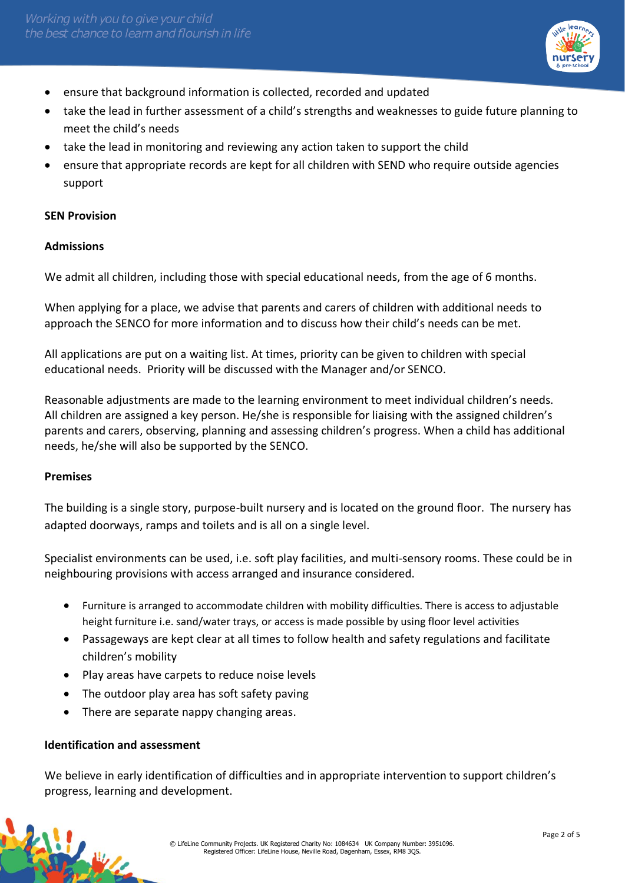

- ensure that background information is collected, recorded and updated
- take the lead in further assessment of a child's strengths and weaknesses to guide future planning to meet the child's needs
- take the lead in monitoring and reviewing any action taken to support the child
- ensure that appropriate records are kept for all children with SEND who require outside agencies support

### **SEN Provision**

# **Admissions**

We admit all children, including those with special educational needs, from the age of 6 months.

When applying for a place, we advise that parents and carers of children with additional needs to approach the SENCO for more information and to discuss how their child's needs can be met.

All applications are put on a waiting list. At times, priority can be given to children with special educational needs. Priority will be discussed with the Manager and/or SENCO.

Reasonable adjustments are made to the learning environment to meet individual children's needs. All children are assigned a key person. He/she is responsible for liaising with the assigned children's parents and carers, observing, planning and assessing children's progress. When a child has additional needs, he/she will also be supported by the SENCO.

# **Premises**

The building is a single story, purpose-built nursery and is located on the ground floor. The nursery has adapted doorways, ramps and toilets and is all on a single level.

Specialist environments can be used, i.e. soft play facilities, and multi-sensory rooms. These could be in neighbouring provisions with access arranged and insurance considered.

- Furniture is arranged to accommodate children with mobility difficulties. There is access to adjustable height furniture i.e. sand/water trays, or access is made possible by using floor level activities
- Passageways are kept clear at all times to follow health and safety regulations and facilitate children's mobility
- Play areas have carpets to reduce noise levels
- The outdoor play area has soft safety paving
- There are separate nappy changing areas.

# **Identification and assessment**

We believe in early identification of difficulties and in appropriate intervention to support children's progress, learning and development.

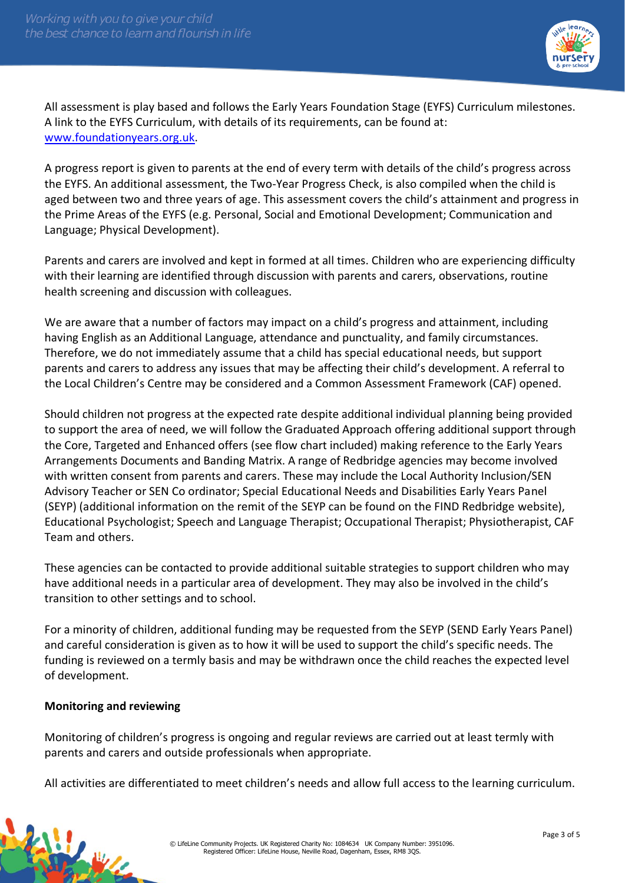

All assessment is play based and follows the Early Years Foundation Stage (EYFS) Curriculum milestones. A link to the EYFS Curriculum, with details of its requirements, can be found at: [www.foundationyears.org.uk.](http://www.foundationyears.org.uk/)

A progress report is given to parents at the end of every term with details of the child's progress across the EYFS. An additional assessment, the Two-Year Progress Check, is also compiled when the child is aged between two and three years of age. This assessment covers the child's attainment and progress in the Prime Areas of the EYFS (e.g. Personal, Social and Emotional Development; Communication and Language; Physical Development).

Parents and carers are involved and kept in formed at all times. Children who are experiencing difficulty with their learning are identified through discussion with parents and carers, observations, routine health screening and discussion with colleagues.

We are aware that a number of factors may impact on a child's progress and attainment, including having English as an Additional Language, attendance and punctuality, and family circumstances. Therefore, we do not immediately assume that a child has special educational needs, but support parents and carers to address any issues that may be affecting their child's development. A referral to the Local Children's Centre may be considered and a Common Assessment Framework (CAF) opened.

Should children not progress at the expected rate despite additional individual planning being provided to support the area of need, we will follow the Graduated Approach offering additional support through the Core, Targeted and Enhanced offers (see flow chart included) making reference to the Early Years Arrangements Documents and Banding Matrix. A range of Redbridge agencies may become involved with written consent from parents and carers. These may include the Local Authority Inclusion/SEN Advisory Teacher or SEN Co ordinator; Special Educational Needs and Disabilities Early Years Panel (SEYP) (additional information on the remit of the SEYP can be found on the FIND Redbridge website), Educational Psychologist; Speech and Language Therapist; Occupational Therapist; Physiotherapist, CAF Team and others.

These agencies can be contacted to provide additional suitable strategies to support children who may have additional needs in a particular area of development. They may also be involved in the child's transition to other settings and to school.

For a minority of children, additional funding may be requested from the SEYP (SEND Early Years Panel) and careful consideration is given as to how it will be used to support the child's specific needs. The funding is reviewed on a termly basis and may be withdrawn once the child reaches the expected level of development.

# **Monitoring and reviewing**

Monitoring of children's progress is ongoing and regular reviews are carried out at least termly with parents and carers and outside professionals when appropriate.

All activities are differentiated to meet children's needs and allow full access to the learning curriculum.

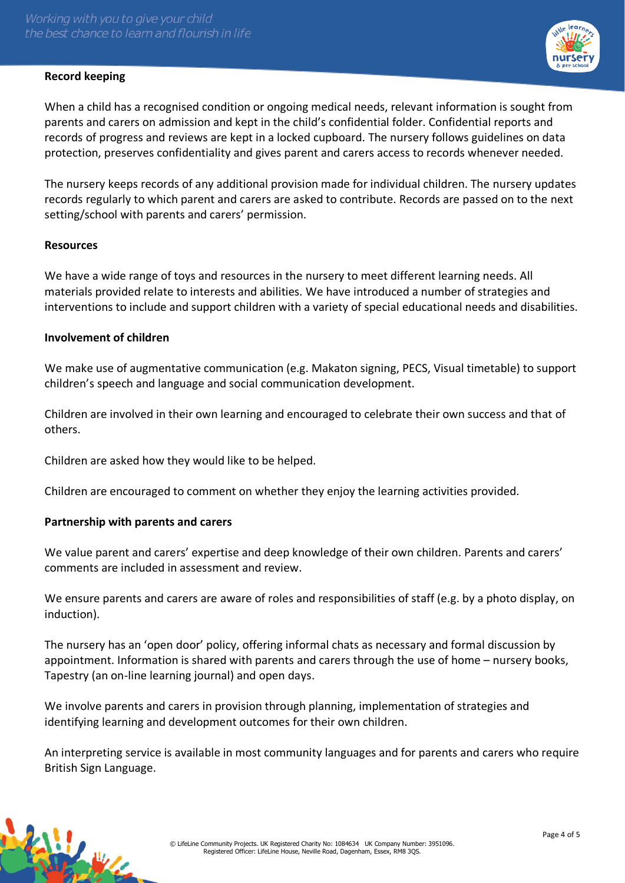# **Record keeping**



When a child has a recognised condition or ongoing medical needs, relevant information is sought from parents and carers on admission and kept in the child's confidential folder. Confidential reports and records of progress and reviews are kept in a locked cupboard. The nursery follows guidelines on data protection, preserves confidentiality and gives parent and carers access to records whenever needed.

The nursery keeps records of any additional provision made for individual children. The nursery updates records regularly to which parent and carers are asked to contribute. Records are passed on to the next setting/school with parents and carers' permission.

### **Resources**

We have a wide range of toys and resources in the nursery to meet different learning needs. All materials provided relate to interests and abilities. We have introduced a number of strategies and interventions to include and support children with a variety of special educational needs and disabilities.

### **Involvement of children**

We make use of augmentative communication (e.g. Makaton signing, PECS, Visual timetable) to support children's speech and language and social communication development.

Children are involved in their own learning and encouraged to celebrate their own success and that of others.

Children are asked how they would like to be helped.

Children are encouraged to comment on whether they enjoy the learning activities provided.

#### **Partnership with parents and carers**

We value parent and carers' expertise and deep knowledge of their own children. Parents and carers' comments are included in assessment and review.

We ensure parents and carers are aware of roles and responsibilities of staff (e.g. by a photo display, on induction).

The nursery has an 'open door' policy, offering informal chats as necessary and formal discussion by appointment. Information is shared with parents and carers through the use of home – nursery books, Tapestry (an on-line learning journal) and open days.

We involve parents and carers in provision through planning, implementation of strategies and identifying learning and development outcomes for their own children.

An interpreting service is available in most community languages and for parents and carers who require British Sign Language.